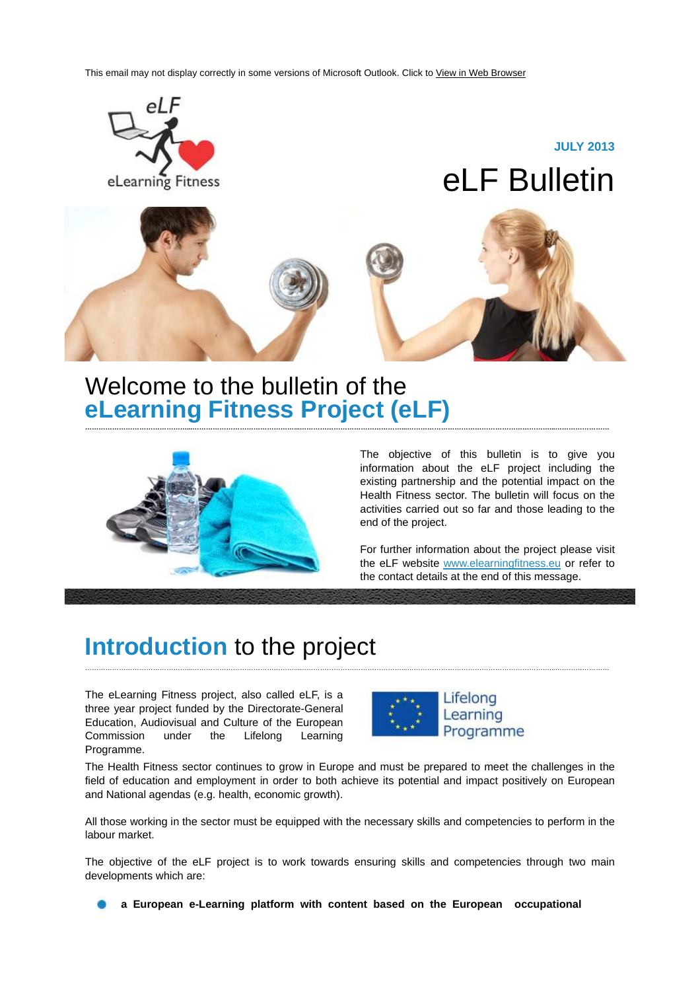This email may not display correctly in some versions of Microsoft Outlook. Click to View in Web Browser



**………………………………………...………………………………………...………………………………………...………………………………………………………...……………………**

### Welcome to the bulletin of the **eLearning Fitness Project (eLF)**



The objective of this bulletin is to give you information about the eLF project including the existing partnership and the potential impact on the Health Fitness sector. The bulletin will focus on the activities carried out so far and those leading to the end of the project.

For further information about the project please visit the eLF website www.elearningfitness.eu or refer to the contact details at the end of this message.

# **Introduction** to the project

The eLearning Fitness project, also called eLF, is a three year project funded by the Directorate-General Education, Audiovisual and Culture of the European Commission under the Lifelong Learning Programme.



The Health Fitness sector continues to grow in Europe and must be prepared to meet the challenges in the field of education and employment in order to both achieve its potential and impact positively on European and National agendas (e.g. health, economic growth).

………………………………………...………………………………………...………………………………………...………………………………………………………...……………………

All those working in the sector must be equipped with the necessary skills and competencies to perform in the labour market.

The objective of the eLF project is to work towards ensuring skills and competencies through two main developments which are:

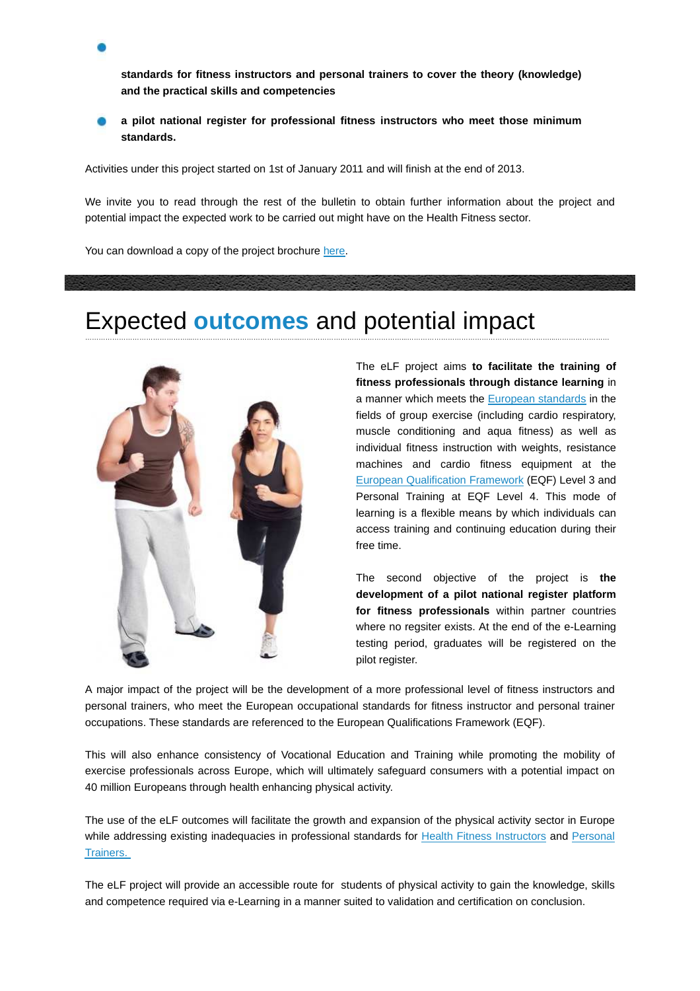**standards for fitness instructors and personal trainers to cover the theory (knowledge) and the practical skills and competencies**

**a pilot national register for professional fitness instructors who meet those minimum standards.**

Activities under this project started on 1st of January 2011 and will finish at the end of 2013.

We invite you to read through the rest of the bulletin to obtain further information about the project and potential impact the expected work to be carried out might have on the Health Fitness sector.

………………………………………...………………………………………...………………………………………...………………………………………………………...……………………

You can download a copy of the project brochure here.

### Expected **outcomes** and potential impact



The eLF project aims **to facilitate the training of fitness professionals through distance learning** in a manner which meets the European standards in the fields of group exercise (including cardio respiratory, muscle conditioning and aqua fitness) as well as individual fitness instruction with weights, resistance machines and cardio fitness equipment at the European Qualification Framework (EQF) Level 3 and Personal Training at EQF Level 4. This mode of learning is a flexible means by which individuals can access training and continuing education during their free time.

The second objective of the project is **the development of a pilot national register platform for fitness professionals** within partner countries where no regsiter exists. At the end of the e-Learning testing period, graduates will be registered on the pilot register.

A major impact of the project will be the development of a more professional level of fitness instructors and personal trainers, who meet the European occupational standards for fitness instructor and personal trainer occupations. These standards are referenced to the European Qualifications Framework (EQF).

This will also enhance consistency of Vocational Education and Training while promoting the mobility of exercise professionals across Europe, which will ultimately safeguard consumers with a potential impact on 40 million Europeans through health enhancing physical activity.

The use of the eLF outcomes will facilitate the growth and expansion of the physical activity sector in Europe while addressing existing inadequacies in professional standards for Health Fitness Instructors and Personal Trainers.

The eLF project will provide an accessible route for students of physical activity to gain the knowledge, skills and competence required via e-Learning in a manner suited to validation and certification on conclusion.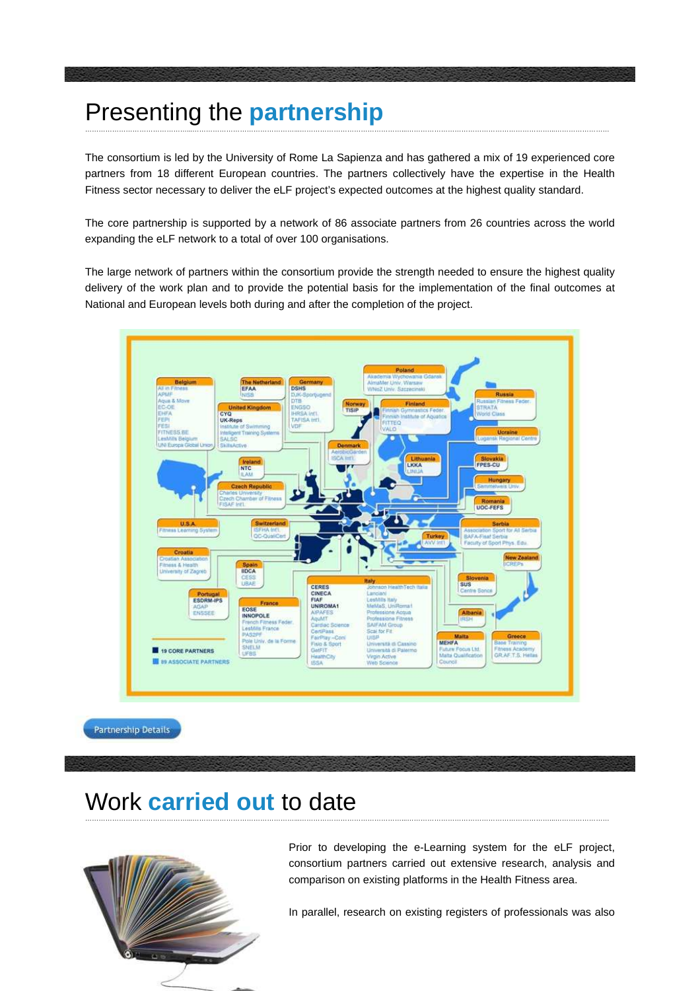### Presenting the **partnership** ………………………………………...………………………………………...………………………………………...………………………………………………………...……………………

The consortium is led by the University of Rome La Sapienza and has gathered a mix of 19 experienced core partners from 18 different European countries. The partners collectively have the expertise in the Health Fitness sector necessary to deliver the eLF project's expected outcomes at the highest quality standard.

The core partnership is supported by a network of 86 associate partners from 26 countries across the world expanding the eLF network to a total of over 100 organisations.

The large network of partners within the consortium provide the strength needed to ensure the highest quality delivery of the work plan and to provide the potential basis for the implementation of the final outcomes at National and European levels both during and after the completion of the project.



#### Work **carried out** to date ………………………………………...………………………………………...………………………………………...………………………………………………………...……………………



Prior to developing the e-Learning system for the eLF project, consortium partners carried out extensive research, analysis and comparison on existing platforms in the Health Fitness area.

In parallel, research on existing registers of professionals was also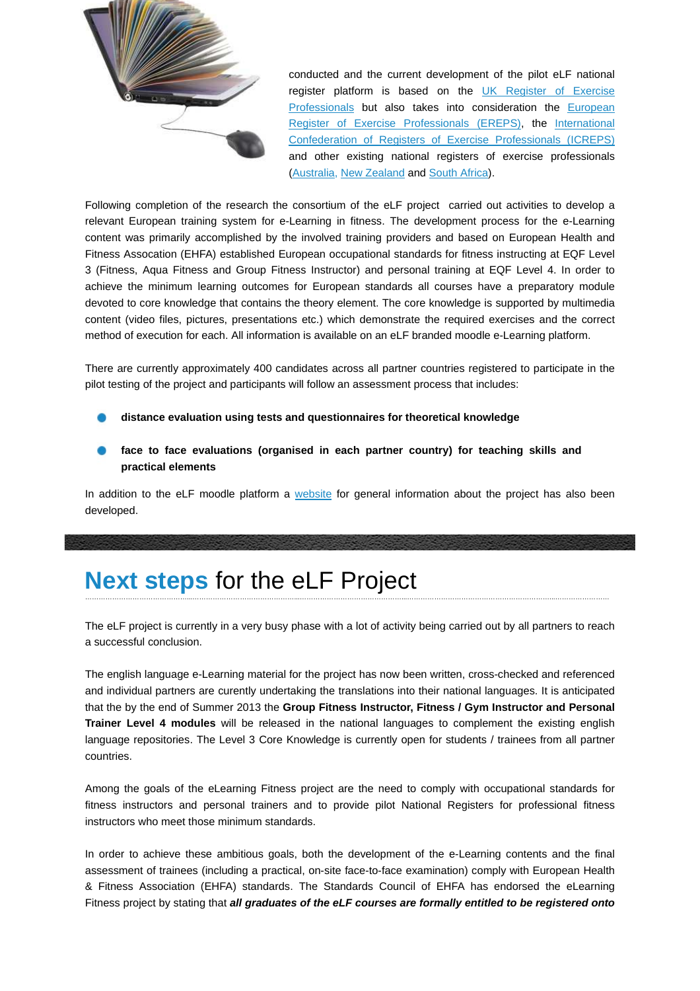

conducted and the current development of the pilot eLF national register platform is based on the UK Register of Exercise Professionals but also takes into consideration the European Register of Exercise Professionals (EREPS), the International Confederation of Registers of Exercise Professionals (ICREPS) and other existing national registers of exercise professionals (Australia, New Zealand and South Africa).

Following completion of the research the consortium of the eLF project carried out activities to develop a relevant European training system for e-Learning in fitness. The development process for the e-Learning content was primarily accomplished by the involved training providers and based on European Health and Fitness Assocation (EHFA) established European occupational standards for fitness instructing at EQF Level 3 (Fitness, Aqua Fitness and Group Fitness Instructor) and personal training at EQF Level 4. In order to achieve the minimum learning outcomes for European standards all courses have a preparatory module devoted to core knowledge that contains the theory element. The core knowledge is supported by multimedia content (video files, pictures, presentations etc.) which demonstrate the required exercises and the correct method of execution for each. All information is available on an eLF branded moodle e-Learning platform.

There are currently approximately 400 candidates across all partner countries registered to participate in the pilot testing of the project and participants will follow an assessment process that includes:

- **distance evaluation using tests and questionnaires for theoretical knowledge**
- **face to face evaluations (organised in each partner country) for teaching skills and practical elements**

In addition to the eLF moodle platform a website for general information about the project has also been developed.

### **Next steps** for the eLF Project ………………………………………...………………………………………...………………………………………...………………………………………………………...……………………

The eLF project is currently in a very busy phase with a lot of activity being carried out by all partners to reach a successful conclusion.

The english language e-Learning material for the project has now been written, cross-checked and referenced and individual partners are curently undertaking the translations into their national languages. It is anticipated that the by the end of Summer 2013 the **Group Fitness Instructor, Fitness / Gym Instructor and Personal Trainer Level 4 modules** will be released in the national languages to complement the existing english language repositories. The Level 3 Core Knowledge is currently open for students / trainees from all partner countries.

Among the goals of the eLearning Fitness project are the need to comply with occupational standards for fitness instructors and personal trainers and to provide pilot National Registers for professional fitness instructors who meet those minimum standards.

In order to achieve these ambitious goals, both the development of the e-Learning contents and the final assessment of trainees (including a practical, on-site face-to-face examination) comply with European Health & Fitness Association (EHFA) standards. The Standards Council of EHFA has endorsed the eLearning Fitness project by stating that **all graduates of the eLF courses are formally entitled to be registered onto**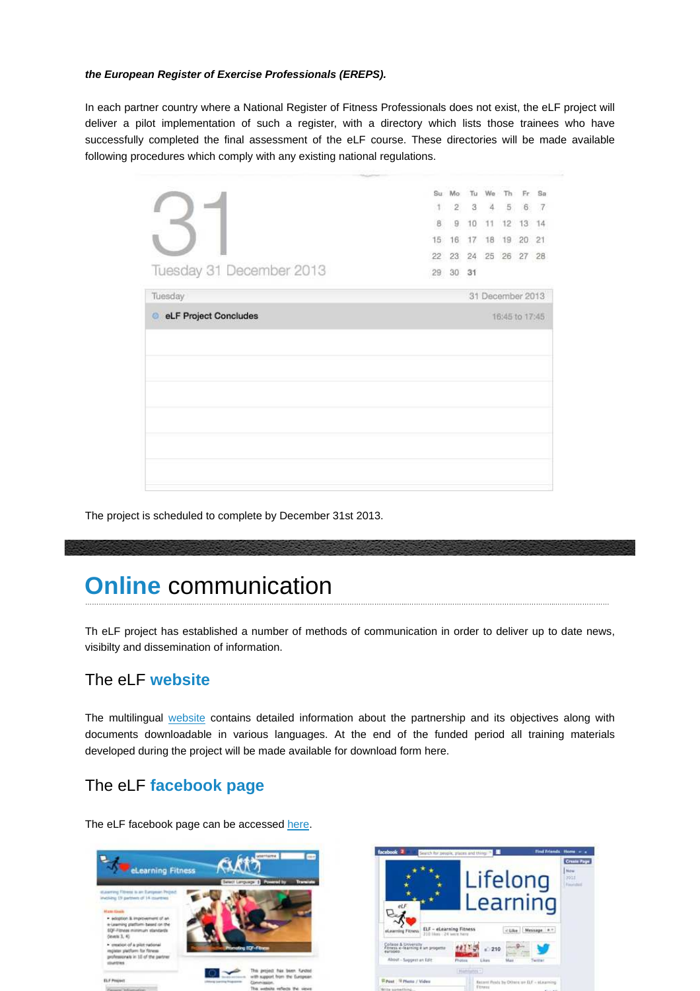#### **the European Register of Exercise Professionals (EREPS).**

In each partner country where a National Register of Fitness Professionals does not exist, the eLF project will deliver a pilot implementation of such a register, with a directory which lists those trainees who have successfully completed the final assessment of the eLF course. These directories will be made available following procedures which comply with any existing national regulations.

|                          |              | Su Mo<br>$1 \t2 \t3 \t4 \t5 \t6 \t7$<br>8 9 | Tu<br>10 | We<br>11         | Th: | Fr<br>12 13 14 | Sa |
|--------------------------|--------------|---------------------------------------------|----------|------------------|-----|----------------|----|
|                          |              | 15 16                                       | 17       | 18               |     | 19 20 21       |    |
| Tuesday 31 December 2013 | $22^{\circ}$ | 23<br>29 30                                 | 31       | 24 25 26 27 28   |     |                |    |
| Tuesday                  |              |                                             |          | 31 December 2013 |     |                |    |
|                          |              |                                             |          |                  |     |                |    |
|                          |              |                                             |          |                  |     | 16:45 to 17:45 |    |
|                          |              |                                             |          |                  |     |                |    |
|                          |              |                                             |          |                  |     |                |    |
|                          |              |                                             |          |                  |     |                |    |
|                          |              |                                             |          |                  |     |                |    |
|                          |              |                                             |          |                  |     |                |    |
| eLF Project Concludes    |              |                                             |          |                  |     |                |    |
|                          |              |                                             |          |                  |     |                |    |

The project is scheduled to complete by December 31st 2013.

## **Online** communication

Th eLF project has established a number of methods of communication in order to deliver up to date news, visibilty and dissemination of information.

………………………………………...………………………………………...………………………………………...………………………………………………………...……………………

### The eLF **website**

The multilingual website contains detailed information about the partnership and its objectives along with documents downloadable in various languages. At the end of the funded period all training materials developed during the project will be made available for download form here.

### The eLF **facebook page**

The eLF facebook page can be accessed here.